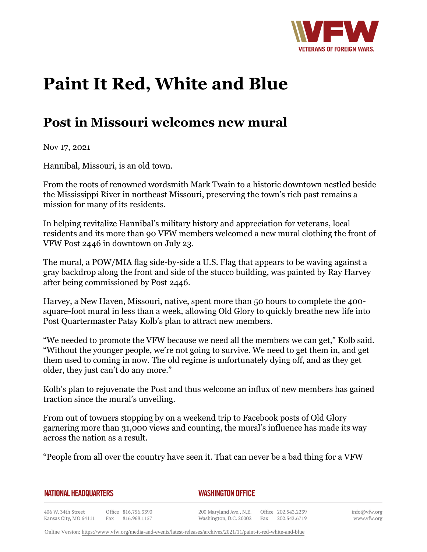

## **Paint It Red, White and Blue**

## **Post in Missouri welcomes new mural**

Nov 17, 2021

Hannibal, Missouri, is an old town.

From the roots of renowned wordsmith Mark Twain to a historic downtown nestled beside the Mississippi River in northeast Missouri, preserving the town's rich past remains a mission for many of its residents.

In helping revitalize Hannibal's military history and appreciation for veterans, local residents and its more than 90 VFW members welcomed a new mural clothing the front of VFW Post 2446 in downtown on July 23.

The mural, a POW/MIA flag side-by-side a U.S. Flag that appears to be waving against a gray backdrop along the front and side of the stucco building, was painted by Ray Harvey after being commissioned by Post 2446.

Harvey, a New Haven, Missouri, native, spent more than 50 hours to complete the 400 square-foot mural in less than a week, allowing Old Glory to quickly breathe new life into Post Quartermaster Patsy Kolb's plan to attract new members.

"We needed to promote the VFW because we need all the members we can get," Kolb said. "Without the younger people, we're not going to survive. We need to get them in, and get them used to coming in now. The old regime is unfortunately dying off, and as they get older, they just can't do any more."

Kolb's plan to rejuvenate the Post and thus welcome an influx of new members has gained traction since the mural's unveiling.

From out of towners stopping by on a weekend trip to Facebook posts of Old Glory garnering more than 31,000 views and counting, the mural's influence has made its way across the nation as a result.

"People from all over the country have seen it. That can never be a bad thing for a VFW

|  | NATIONAL HEADQUARTERS |
|--|-----------------------|
|  |                       |

*WASHINGTON OFFICE* 

406 W. 34th Street Office 816.756.3390 Kansas City, MO 64111 Fax 816.968.1157

200 Maryland Ave., N.E. Washington, D.C. 20002 Fax 202.543.6719